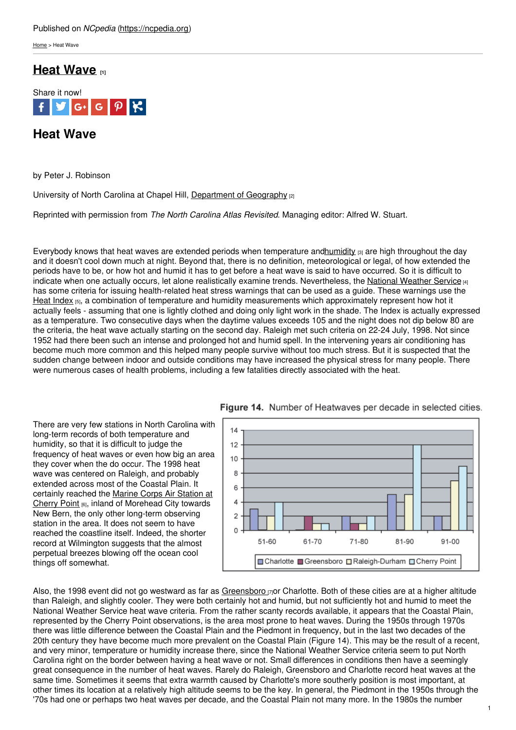[Home](https://ncpedia.org/) > Heat Wave

# **Heat [Wave](https://ncpedia.org/heat-wave) [1]**



# **Heat Wave**

by Peter J. Robinson

University of North Carolina at Chapel Hill, [Department](https://geography.unc.edu/) of Geography [2]

Reprinted with permission from *The North Carolina Atlas Revisited*. Managing editor: Alfred W. Stuart.

Everybody knows that heat waves are extended periods when temperature and humidity  $[3]$  are high throughout the day and it doesn't cool down much at night. Beyond that, there is no definition, meteorological or legal, of how extended the periods have to be, or how hot and humid it has to get before a heat wave is said to have occurred. So it is difficult to indicate when one actually occurs, let alone realistically examine trends. Nevertheless, the National [Weather](https://www.weather.gov/) Service [4] has some criteria for issuing health-related heat stress warnings that can be used as a guide. These warnings use the Heat [Index](https://www.weather.gov/safety/heat) (5), a combination of temperature and humidity measurements which approximately represent how hot it actually feels - assuming that one is lightly clothed and doing only light work in the shade. The Index is actually expressed as a temperature. Two consecutive days when the daytime values exceeds 105 and the night does not dip below 80 are the criteria, the heat wave actually starting on the second day. Raleigh met such criteria on 22-24 July, 1998. Not since 1952 had there been such an intense and prolonged hot and humid spell. In the intervening years air conditioning has become much more common and this helped many people survive without too much stress. But it is suspected that the sudden change between indoor and outside conditions may have increased the physical stress for many people. There were numerous cases of health problems, including a few fatalities directly associated with the heat.

There are very few stations in North Carolina with long-term records of both temperature and humidity, so that it is difficult to judge the frequency of heat waves or even how big an area they cover when the do occur. The 1998 heat wave was centered on Raleigh, and probably extended across most of the Coastal Plain. It certainly reached the Marine Corps Air Station at Cherry Point [6], inland of [Morehead](https://www.cherrypoint.marines.mil/) City towards New Bern, the only other long-term observing station in the area. It does not seem to have reached the coastline itself. Indeed, the shorter record at Wilmington suggests that the almost perpetual breezes blowing off the ocean cool things off somewhat.





Also, the 1998 event did not go westward as far as [Greensboro](https://www.greensboro-nc.gov/)  $\eta$ or Charlotte. Both of these cities are at a higher altitude than Raleigh, and slightly cooler. They were both certainly hot and humid, but not sufficiently hot and humid to meet the National Weather Service heat wave criteria. From the rather scanty records available, it appears that the Coastal Plain, represented by the Cherry Point observations, is the area most prone to heat waves. During the 1950s through 1970s there was little difference between the Coastal Plain and the Piedmont in frequency, but in the last two decades of the 20th century they have become much more prevalent on the Coastal Plain (Figure 14). This may be the result of a recent, and very minor, temperature or humidity increase there, since the National Weather Service criteria seem to put North Carolina right on the border between having a heat wave or not. Small differences in conditions then have a seemingly great consequence in the number of heat waves. Rarely do Raleigh, Greensboro and Charlotte record heat waves at the same time. Sometimes it seems that extra warmth caused by Charlotte's more southerly position is most important, at other times its location at a relatively high altitude seems to be the key. In general, the Piedmont in the 1950s through the '70s had one or perhaps two heat waves per decade, and the Coastal Plain not many more. In the 1980s the number